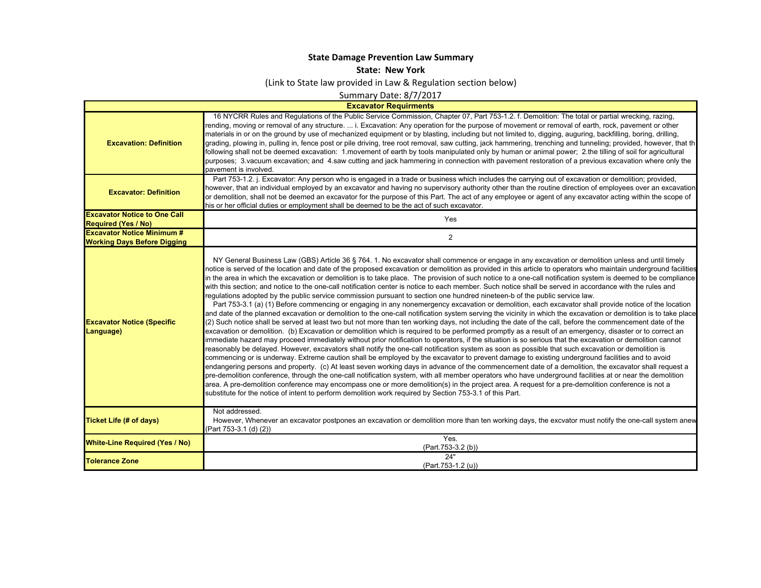## **State Damage Prevention Law Summary**

## **State: New York**

(Link to State law provided in Law & Regulation section below)

Summary Date: 8/7/2017

## **Excavator Requirments**

 $\mathsf{L}$ 

| <b>Excavation: Definition</b>                                           | 16 NYCRR Rules and Requlations of the Public Service Commission, Chapter 07, Part 753-1.2. f. Demolition: The total or partial wrecking, razing,<br>rending, moving or removal of any structure.  i. Excavation: Any operation for the purpose of movement or removal of earth, rock, pavement or other<br>materials in or on the ground by use of mechanized equipment or by blasting, including but not limited to, digging, auguring, backfilling, boring, drilling,<br>grading, plowing in, pulling in, fence post or pile driving, tree root removal, saw cutting, jack hammering, trenching and tunneling; provided, however, that th<br>following shall not be deemed excavation: 1.movement of earth by tools manipulated only by human or animal power; 2.the tilling of soil for agricultural<br>purposes; 3. vacuum excavation; and 4. saw cutting and jack hammering in connection with pavement restoration of a previous excavation where only the<br>pavement is involved.                                                                                                                                                                                                                                                                                                                                                                                                                                                                                                                                                                                                                                                                                                                                                                                                                                                                                                                                                                                                                                                                                                                                                                                                                                                                                                                                                                                                                                                                                                     |
|-------------------------------------------------------------------------|-----------------------------------------------------------------------------------------------------------------------------------------------------------------------------------------------------------------------------------------------------------------------------------------------------------------------------------------------------------------------------------------------------------------------------------------------------------------------------------------------------------------------------------------------------------------------------------------------------------------------------------------------------------------------------------------------------------------------------------------------------------------------------------------------------------------------------------------------------------------------------------------------------------------------------------------------------------------------------------------------------------------------------------------------------------------------------------------------------------------------------------------------------------------------------------------------------------------------------------------------------------------------------------------------------------------------------------------------------------------------------------------------------------------------------------------------------------------------------------------------------------------------------------------------------------------------------------------------------------------------------------------------------------------------------------------------------------------------------------------------------------------------------------------------------------------------------------------------------------------------------------------------------------------------------------------------------------------------------------------------------------------------------------------------------------------------------------------------------------------------------------------------------------------------------------------------------------------------------------------------------------------------------------------------------------------------------------------------------------------------------------------------------------------------------------------------------------------------------------------------|
| <b>Excavator: Definition</b>                                            | Part 753-1.2. j. Excavator: Any person who is engaged in a trade or business which includes the carrying out of excavation or demolition; provided,<br>however, that an individual employed by an excavator and having no supervisory authority other than the routine direction of employees over an excavation<br>or demolition, shall not be deemed an excavator for the purpose of this Part. The act of any employee or agent of any excavator acting within the scope of<br>his or her official duties or employment shall be deemed to be the act of such excavator.                                                                                                                                                                                                                                                                                                                                                                                                                                                                                                                                                                                                                                                                                                                                                                                                                                                                                                                                                                                                                                                                                                                                                                                                                                                                                                                                                                                                                                                                                                                                                                                                                                                                                                                                                                                                                                                                                                                   |
| <b>Excavator Notice to One Call</b><br><b>Required (Yes / No)</b>       | Yes                                                                                                                                                                                                                                                                                                                                                                                                                                                                                                                                                                                                                                                                                                                                                                                                                                                                                                                                                                                                                                                                                                                                                                                                                                                                                                                                                                                                                                                                                                                                                                                                                                                                                                                                                                                                                                                                                                                                                                                                                                                                                                                                                                                                                                                                                                                                                                                                                                                                                           |
| <b>Excavator Notice Minimum #</b><br><b>Working Days Before Digging</b> | 2                                                                                                                                                                                                                                                                                                                                                                                                                                                                                                                                                                                                                                                                                                                                                                                                                                                                                                                                                                                                                                                                                                                                                                                                                                                                                                                                                                                                                                                                                                                                                                                                                                                                                                                                                                                                                                                                                                                                                                                                                                                                                                                                                                                                                                                                                                                                                                                                                                                                                             |
| <b>Excavator Notice (Specific</b><br>Language)                          | NY General Business Law (GBS) Article 36 § 764. 1. No excavator shall commence or engage in any excavation or demolition unless and until timely<br>notice is served of the location and date of the proposed excavation or demolition as provided in this article to operators who maintain underground facilities<br>in the area in which the excavation or demolition is to take place. The provision of such notice to a one-call notification system is deemed to be compliance<br>with this section; and notice to the one-call notification center is notice to each member. Such notice shall be served in accordance with the rules and<br>regulations adopted by the public service commission pursuant to section one hundred nineteen-b of the public service law.<br>Part 753-3.1 (a) (1) Before commencing or engaging in any nonemergency excavation or demolition, each excavator shall provide notice of the location<br>and date of the planned excavation or demolition to the one-call notification system serving the vicinity in which the excavation or demolition is to take place<br>(2) Such notice shall be served at least two but not more than ten working days, not including the date of the call, before the commencement date of the<br>excavation or demolition. (b) Excavation or demolition which is required to be performed promptly as a result of an emergency, disaster or to correct an<br>immediate hazard may proceed immediately without prior notification to operators, if the situation is so serious that the excavation or demolition cannot<br>reasonably be delayed. However, excavators shall notify the one-call notification system as soon as possible that such excavation or demolition is<br>commencing or is underway. Extreme caution shall be employed by the excavator to prevent damage to existing underground facilities and to avoid<br>endangering persons and property. (c) At least seven working days in advance of the commencement date of a demolition, the excavator shall request a<br>pre-demolition conference, through the one-call notification system, with all member operators who have underground facilities at or near the demolition<br>area. A pre-demolition conference may encompass one or more demolition(s) in the project area. A request for a pre-demolition conference is not a<br>substitute for the notice of intent to perform demolition work required by Section 753-3.1 of this Part. |
| <b>Ticket Life (# of days)</b>                                          | Not addressed.<br>However, Whenever an excavator postpones an excavation or demolition more than ten working days, the excvator must notify the one-call system anew<br>(Part 753-3.1 (d) (2))                                                                                                                                                                                                                                                                                                                                                                                                                                                                                                                                                                                                                                                                                                                                                                                                                                                                                                                                                                                                                                                                                                                                                                                                                                                                                                                                                                                                                                                                                                                                                                                                                                                                                                                                                                                                                                                                                                                                                                                                                                                                                                                                                                                                                                                                                                |
| <b>White-Line Required (Yes / No)</b>                                   | Yes.<br>(Part.753-3.2 (b))                                                                                                                                                                                                                                                                                                                                                                                                                                                                                                                                                                                                                                                                                                                                                                                                                                                                                                                                                                                                                                                                                                                                                                                                                                                                                                                                                                                                                                                                                                                                                                                                                                                                                                                                                                                                                                                                                                                                                                                                                                                                                                                                                                                                                                                                                                                                                                                                                                                                    |
| <b>Tolerance Zone</b>                                                   | 24"<br>(Part.753-1.2 (u))                                                                                                                                                                                                                                                                                                                                                                                                                                                                                                                                                                                                                                                                                                                                                                                                                                                                                                                                                                                                                                                                                                                                                                                                                                                                                                                                                                                                                                                                                                                                                                                                                                                                                                                                                                                                                                                                                                                                                                                                                                                                                                                                                                                                                                                                                                                                                                                                                                                                     |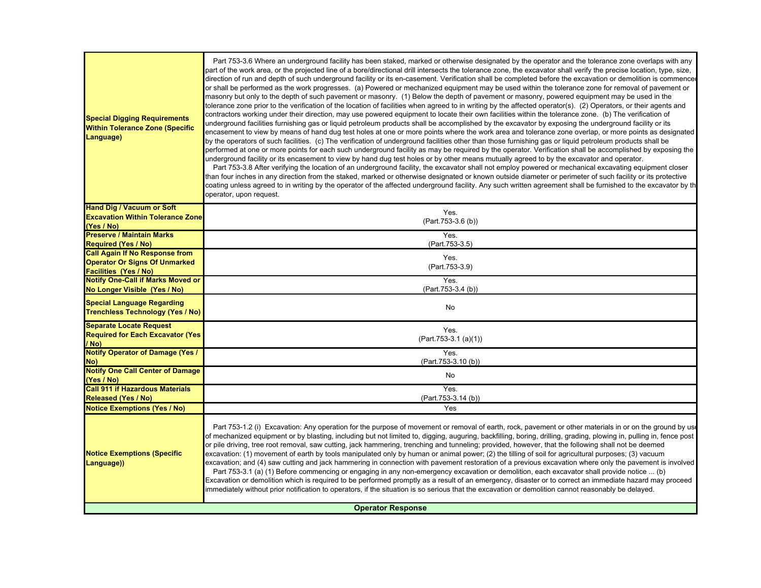| <b>Special Digging Requirements</b><br><b>Within Tolerance Zone (Specific</b><br>Language) | Part 753-3.6 Where an underground facility has been staked, marked or otherwise designated by the operator and the tolerance zone overlaps with any<br>part of the work area, or the projected line of a bore/directional drill intersects the tolerance zone, the excavator shall verify the precise location, type, size,<br>direction of run and depth of such underground facility or its en-casement. Verification shall be completed before the excavation or demolition is commence<br>or shall be performed as the work progresses. (a) Powered or mechanized equipment may be used within the tolerance zone for removal of pavement or<br>masonry but only to the depth of such pavement or masonry. (1) Below the depth of pavement or masonry, powered equipment may be used in the<br>tolerance zone prior to the verification of the location of facilities when agreed to in writing by the affected operator(s). (2) Operators, or their agents and<br>contractors working under their direction, may use powered equipment to locate their own facilities within the tolerance zone. (b) The verification of<br>underground facilities furnishing gas or liquid petroleum products shall be accomplished by the excavator by exposing the underground facility or its<br>encasement to view by means of hand dug test holes at one or more points where the work area and tolerance zone overlap, or more points as designated<br>by the operators of such facilities. (c) The verification of underground facilities other than those furnishing gas or liquid petroleum products shall be<br>performed at one or more points for each such underground facility as may be required by the operator. Verification shall be accomplished by exposing the<br>underground facility or its encasement to view by hand dug test holes or by other means mutually agreed to by the excavator and operator.<br>Part 753-3.8 After verifying the location of an underground facility, the excavator shall not employ powered or mechanical excavating equipment closer<br>than four inches in any direction from the staked, marked or otherwise designated or known outside diameter or perimeter of such facility or its protective<br>coating unless agreed to in writing by the operator of the affected underground facility. Any such written agreement shall be furnished to the excavator by th<br>operator, upon request. |
|--------------------------------------------------------------------------------------------|----------------------------------------------------------------------------------------------------------------------------------------------------------------------------------------------------------------------------------------------------------------------------------------------------------------------------------------------------------------------------------------------------------------------------------------------------------------------------------------------------------------------------------------------------------------------------------------------------------------------------------------------------------------------------------------------------------------------------------------------------------------------------------------------------------------------------------------------------------------------------------------------------------------------------------------------------------------------------------------------------------------------------------------------------------------------------------------------------------------------------------------------------------------------------------------------------------------------------------------------------------------------------------------------------------------------------------------------------------------------------------------------------------------------------------------------------------------------------------------------------------------------------------------------------------------------------------------------------------------------------------------------------------------------------------------------------------------------------------------------------------------------------------------------------------------------------------------------------------------------------------------------------------------------------------------------------------------------------------------------------------------------------------------------------------------------------------------------------------------------------------------------------------------------------------------------------------------------------------------------------------------------------------------------------------------------------------------------------------------------------------------------------------------------------------------------|
| <b>Hand Dig / Vacuum or Soft</b>                                                           | Yes.                                                                                                                                                                                                                                                                                                                                                                                                                                                                                                                                                                                                                                                                                                                                                                                                                                                                                                                                                                                                                                                                                                                                                                                                                                                                                                                                                                                                                                                                                                                                                                                                                                                                                                                                                                                                                                                                                                                                                                                                                                                                                                                                                                                                                                                                                                                                                                                                                                         |
| <b>Excavation Within Tolerance Zone</b><br>(Yes / No)                                      | (Part.753-3.6 (b))                                                                                                                                                                                                                                                                                                                                                                                                                                                                                                                                                                                                                                                                                                                                                                                                                                                                                                                                                                                                                                                                                                                                                                                                                                                                                                                                                                                                                                                                                                                                                                                                                                                                                                                                                                                                                                                                                                                                                                                                                                                                                                                                                                                                                                                                                                                                                                                                                           |
| <b>Preserve / Maintain Marks</b>                                                           | Yes.                                                                                                                                                                                                                                                                                                                                                                                                                                                                                                                                                                                                                                                                                                                                                                                                                                                                                                                                                                                                                                                                                                                                                                                                                                                                                                                                                                                                                                                                                                                                                                                                                                                                                                                                                                                                                                                                                                                                                                                                                                                                                                                                                                                                                                                                                                                                                                                                                                         |
| <b>Required (Yes / No)</b>                                                                 | (Part.753-3.5)                                                                                                                                                                                                                                                                                                                                                                                                                                                                                                                                                                                                                                                                                                                                                                                                                                                                                                                                                                                                                                                                                                                                                                                                                                                                                                                                                                                                                                                                                                                                                                                                                                                                                                                                                                                                                                                                                                                                                                                                                                                                                                                                                                                                                                                                                                                                                                                                                               |
| <b>Call Again If No Response from</b>                                                      | Yes.                                                                                                                                                                                                                                                                                                                                                                                                                                                                                                                                                                                                                                                                                                                                                                                                                                                                                                                                                                                                                                                                                                                                                                                                                                                                                                                                                                                                                                                                                                                                                                                                                                                                                                                                                                                                                                                                                                                                                                                                                                                                                                                                                                                                                                                                                                                                                                                                                                         |
| <b>Operator Or Signs Of Unmarked</b><br><b>Facilities (Yes / No)</b>                       | (Part.753-3.9)                                                                                                                                                                                                                                                                                                                                                                                                                                                                                                                                                                                                                                                                                                                                                                                                                                                                                                                                                                                                                                                                                                                                                                                                                                                                                                                                                                                                                                                                                                                                                                                                                                                                                                                                                                                                                                                                                                                                                                                                                                                                                                                                                                                                                                                                                                                                                                                                                               |
| <b>Notify One-Call if Marks Moved or</b>                                                   | Yes.                                                                                                                                                                                                                                                                                                                                                                                                                                                                                                                                                                                                                                                                                                                                                                                                                                                                                                                                                                                                                                                                                                                                                                                                                                                                                                                                                                                                                                                                                                                                                                                                                                                                                                                                                                                                                                                                                                                                                                                                                                                                                                                                                                                                                                                                                                                                                                                                                                         |
| No Longer Visible (Yes / No)                                                               | (Part.753-3.4 (b))                                                                                                                                                                                                                                                                                                                                                                                                                                                                                                                                                                                                                                                                                                                                                                                                                                                                                                                                                                                                                                                                                                                                                                                                                                                                                                                                                                                                                                                                                                                                                                                                                                                                                                                                                                                                                                                                                                                                                                                                                                                                                                                                                                                                                                                                                                                                                                                                                           |
| <b>Special Language Regarding</b><br><b>Trenchless Technology (Yes / No)</b>               | <b>No</b>                                                                                                                                                                                                                                                                                                                                                                                                                                                                                                                                                                                                                                                                                                                                                                                                                                                                                                                                                                                                                                                                                                                                                                                                                                                                                                                                                                                                                                                                                                                                                                                                                                                                                                                                                                                                                                                                                                                                                                                                                                                                                                                                                                                                                                                                                                                                                                                                                                    |
| <b>Separate Locate Request</b><br><b>Required for Each Excavator (Yes)</b><br>/ No)        | Yes.<br>(Part.753-3.1 (a)(1))                                                                                                                                                                                                                                                                                                                                                                                                                                                                                                                                                                                                                                                                                                                                                                                                                                                                                                                                                                                                                                                                                                                                                                                                                                                                                                                                                                                                                                                                                                                                                                                                                                                                                                                                                                                                                                                                                                                                                                                                                                                                                                                                                                                                                                                                                                                                                                                                                |
| <b>Notify Operator of Damage (Yes /</b><br>No)                                             | Yes.<br>(Part.753-3.10(b))                                                                                                                                                                                                                                                                                                                                                                                                                                                                                                                                                                                                                                                                                                                                                                                                                                                                                                                                                                                                                                                                                                                                                                                                                                                                                                                                                                                                                                                                                                                                                                                                                                                                                                                                                                                                                                                                                                                                                                                                                                                                                                                                                                                                                                                                                                                                                                                                                   |
| <b>Notify One Call Center of Damage</b>                                                    | No                                                                                                                                                                                                                                                                                                                                                                                                                                                                                                                                                                                                                                                                                                                                                                                                                                                                                                                                                                                                                                                                                                                                                                                                                                                                                                                                                                                                                                                                                                                                                                                                                                                                                                                                                                                                                                                                                                                                                                                                                                                                                                                                                                                                                                                                                                                                                                                                                                           |
| (Yes / No)                                                                                 |                                                                                                                                                                                                                                                                                                                                                                                                                                                                                                                                                                                                                                                                                                                                                                                                                                                                                                                                                                                                                                                                                                                                                                                                                                                                                                                                                                                                                                                                                                                                                                                                                                                                                                                                                                                                                                                                                                                                                                                                                                                                                                                                                                                                                                                                                                                                                                                                                                              |
| <b>Call 911 if Hazardous Materials</b><br><b>Released (Yes / No)</b>                       | Yes.<br>(Part.753-3.14 (b))                                                                                                                                                                                                                                                                                                                                                                                                                                                                                                                                                                                                                                                                                                                                                                                                                                                                                                                                                                                                                                                                                                                                                                                                                                                                                                                                                                                                                                                                                                                                                                                                                                                                                                                                                                                                                                                                                                                                                                                                                                                                                                                                                                                                                                                                                                                                                                                                                  |
| <b>Notice Exemptions (Yes / No)</b>                                                        | Yes                                                                                                                                                                                                                                                                                                                                                                                                                                                                                                                                                                                                                                                                                                                                                                                                                                                                                                                                                                                                                                                                                                                                                                                                                                                                                                                                                                                                                                                                                                                                                                                                                                                                                                                                                                                                                                                                                                                                                                                                                                                                                                                                                                                                                                                                                                                                                                                                                                          |
| <b>Notice Exemptions (Specific</b><br>Language))                                           | Part 753-1.2 (i) Excavation: Any operation for the purpose of movement or removal of earth, rock, pavement or other materials in or on the ground by use<br>of mechanized equipment or by blasting, including but not limited to, digging, auguring, backfilling, boring, drilling, grading, plowing in, pulling in, fence post<br>or pile driving, tree root removal, saw cutting, jack hammering, trenching and tunneling; provided, however, that the following shall not be deemed<br>excavation: (1) movement of earth by tools manipulated only by human or animal power; (2) the tilling of soil for agricultural purposes; (3) vacuum<br>excavation; and (4) saw cutting and jack hammering in connection with pavement restoration of a previous excavation where only the pavement is involved<br>Part 753-3.1 (a) (1) Before commencing or engaging in any non-emergency excavation or demolition, each excavator shall provide notice  (b)<br>Excavation or demolition which is required to be performed promptly as a result of an emergency, disaster or to correct an immediate hazard may proceed<br>immediately without prior notification to operators, if the situation is so serious that the excavation or demolition cannot reasonably be delayed.                                                                                                                                                                                                                                                                                                                                                                                                                                                                                                                                                                                                                                                                                                                                                                                                                                                                                                                                                                                                                                                                                                                                                                     |
| <b>Operator Response</b>                                                                   |                                                                                                                                                                                                                                                                                                                                                                                                                                                                                                                                                                                                                                                                                                                                                                                                                                                                                                                                                                                                                                                                                                                                                                                                                                                                                                                                                                                                                                                                                                                                                                                                                                                                                                                                                                                                                                                                                                                                                                                                                                                                                                                                                                                                                                                                                                                                                                                                                                              |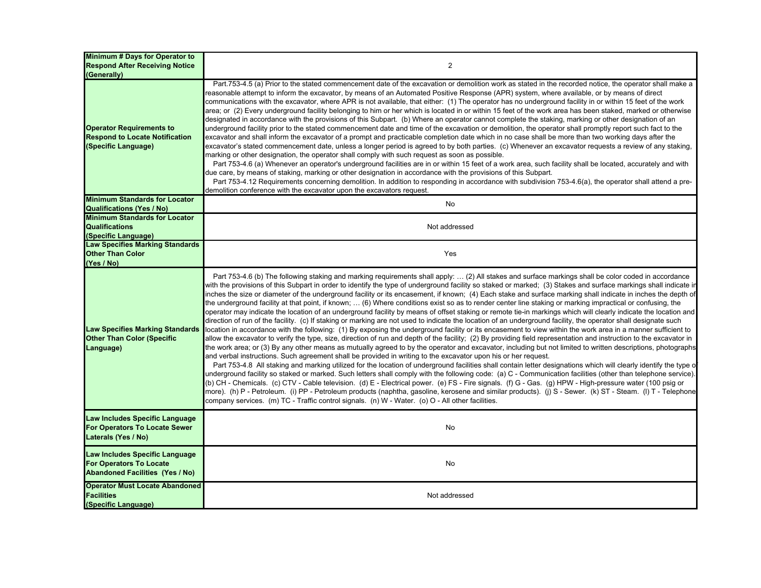| <b>Minimum # Days for Operator to</b>                                                                          |                                                                                                                                                                                                                                                                                                                                                                                                                                                                                                                                                                                                                                                                                                                                                                                                                                                                                                                                                                                                                                                                                                                                                                                                                                                                                                                                                                                                                                                                                                                                                                                                                                                                                                                                                                                                                                                                                                                                                                                                                                                                                                                                                                                                                                                                                                                                                                                           |
|----------------------------------------------------------------------------------------------------------------|-------------------------------------------------------------------------------------------------------------------------------------------------------------------------------------------------------------------------------------------------------------------------------------------------------------------------------------------------------------------------------------------------------------------------------------------------------------------------------------------------------------------------------------------------------------------------------------------------------------------------------------------------------------------------------------------------------------------------------------------------------------------------------------------------------------------------------------------------------------------------------------------------------------------------------------------------------------------------------------------------------------------------------------------------------------------------------------------------------------------------------------------------------------------------------------------------------------------------------------------------------------------------------------------------------------------------------------------------------------------------------------------------------------------------------------------------------------------------------------------------------------------------------------------------------------------------------------------------------------------------------------------------------------------------------------------------------------------------------------------------------------------------------------------------------------------------------------------------------------------------------------------------------------------------------------------------------------------------------------------------------------------------------------------------------------------------------------------------------------------------------------------------------------------------------------------------------------------------------------------------------------------------------------------------------------------------------------------------------------------------------------------|
| <b>Respond After Receiving Notice</b>                                                                          | $\overline{c}$                                                                                                                                                                                                                                                                                                                                                                                                                                                                                                                                                                                                                                                                                                                                                                                                                                                                                                                                                                                                                                                                                                                                                                                                                                                                                                                                                                                                                                                                                                                                                                                                                                                                                                                                                                                                                                                                                                                                                                                                                                                                                                                                                                                                                                                                                                                                                                            |
| (Generally)<br><b>Operator Requirements to</b><br><b>Respond to Locate Notification</b><br>(Specific Language) | Part.753-4.5 (a) Prior to the stated commencement date of the excavation or demolition work as stated in the recorded notice, the operator shall make a<br>easonable attempt to inform the excavator, by means of an Automated Positive Response (APR) system, where available, or by means of direct<br>communications with the excavator, where APR is not available, that either: (1) The operator has no underground facility in or within 15 feet of the work<br>area; or (2) Every underground facility belonging to him or her which is located in or within 15 feet of the work area has been staked, marked or otherwise<br>designated in accordance with the provisions of this Subpart. (b) Where an operator cannot complete the staking, marking or other designation of an<br>underground facility prior to the stated commencement date and time of the excavation or demolition, the operator shall promptly report such fact to the<br>excavator and shall inform the excavator of a prompt and practicable completion date which in no case shall be more than two working days after the<br>excavator's stated commencement date, unless a longer period is agreed to by both parties. (c) Whenever an excavator requests a review of any staking,<br>narking or other designation, the operator shall comply with such request as soon as possible.<br>Part 753-4.6 (a) Whenever an operator's underground facilities are in or within 15 feet of a work area, such facility shall be located, accurately and with<br>due care, by means of staking, marking or other designation in accordance with the provisions of this Subpart.<br>Part 753-4.12 Requirements concerning demolition. In addition to responding in accordance with subdivision 753-4.6(a), the operator shall attend a pre-<br>demolition conference with the excavator upon the excavators request.                                                                                                                                                                                                                                                                                                                                                                                                                                                                                              |
| <b>Minimum Standards for Locator</b>                                                                           | No                                                                                                                                                                                                                                                                                                                                                                                                                                                                                                                                                                                                                                                                                                                                                                                                                                                                                                                                                                                                                                                                                                                                                                                                                                                                                                                                                                                                                                                                                                                                                                                                                                                                                                                                                                                                                                                                                                                                                                                                                                                                                                                                                                                                                                                                                                                                                                                        |
| <b>Qualifications (Yes / No)</b>                                                                               |                                                                                                                                                                                                                                                                                                                                                                                                                                                                                                                                                                                                                                                                                                                                                                                                                                                                                                                                                                                                                                                                                                                                                                                                                                                                                                                                                                                                                                                                                                                                                                                                                                                                                                                                                                                                                                                                                                                                                                                                                                                                                                                                                                                                                                                                                                                                                                                           |
| <b>Minimum Standards for Locator</b><br><b>Qualifications</b>                                                  | Not addressed                                                                                                                                                                                                                                                                                                                                                                                                                                                                                                                                                                                                                                                                                                                                                                                                                                                                                                                                                                                                                                                                                                                                                                                                                                                                                                                                                                                                                                                                                                                                                                                                                                                                                                                                                                                                                                                                                                                                                                                                                                                                                                                                                                                                                                                                                                                                                                             |
| (Specific Language)                                                                                            |                                                                                                                                                                                                                                                                                                                                                                                                                                                                                                                                                                                                                                                                                                                                                                                                                                                                                                                                                                                                                                                                                                                                                                                                                                                                                                                                                                                                                                                                                                                                                                                                                                                                                                                                                                                                                                                                                                                                                                                                                                                                                                                                                                                                                                                                                                                                                                                           |
| <b>Law Specifies Marking Standards</b>                                                                         |                                                                                                                                                                                                                                                                                                                                                                                                                                                                                                                                                                                                                                                                                                                                                                                                                                                                                                                                                                                                                                                                                                                                                                                                                                                                                                                                                                                                                                                                                                                                                                                                                                                                                                                                                                                                                                                                                                                                                                                                                                                                                                                                                                                                                                                                                                                                                                                           |
| <b>Other Than Color</b>                                                                                        | Yes                                                                                                                                                                                                                                                                                                                                                                                                                                                                                                                                                                                                                                                                                                                                                                                                                                                                                                                                                                                                                                                                                                                                                                                                                                                                                                                                                                                                                                                                                                                                                                                                                                                                                                                                                                                                                                                                                                                                                                                                                                                                                                                                                                                                                                                                                                                                                                                       |
| (Yes / No)                                                                                                     |                                                                                                                                                                                                                                                                                                                                                                                                                                                                                                                                                                                                                                                                                                                                                                                                                                                                                                                                                                                                                                                                                                                                                                                                                                                                                                                                                                                                                                                                                                                                                                                                                                                                                                                                                                                                                                                                                                                                                                                                                                                                                                                                                                                                                                                                                                                                                                                           |
| <b>Law Specifies Marking Standards</b><br><b>Other Than Color (Specific</b><br>Language)                       | Part 753-4.6 (b) The following staking and marking requirements shall apply:  (2) All stakes and surface markings shall be color coded in accordance<br>with the provisions of this Subpart in order to identify the type of underground facility so staked or marked; (3) Stakes and surface markings shall indicate ir<br>nches the size or diameter of the underground facility or its encasement, if known; (4) Each stake and surface marking shall indicate in inches the depth of<br>the underground facility at that point, if known;  (6) Where conditions exist so as to render center line staking or marking impractical or confusing, the<br>operator may indicate the location of an underground facility by means of offset staking or remote tie-in markings which will clearly indicate the location and<br>direction of run of the facility. (c) If staking or marking are not used to indicate the location of an underground facility, the operator shall designate such<br>location in accordance with the following: (1) By exposing the underground facility or its encasement to view within the work area in a manner sufficient to<br>allow the excavator to verify the type, size, direction of run and depth of the facility; (2) By providing field representation and instruction to the excavator in<br>the work area; or (3) By any other means as mutually agreed to by the operator and excavator, including but not limited to written descriptions, photographs<br>and verbal instructions. Such agreement shall be provided in writing to the excavator upon his or her request.<br>Part 753-4.8 All staking and marking utilized for the location of underground facilities shall contain letter designations which will clearly identify the type o<br>underground facility so staked or marked. Such letters shall comply with the following code: (a) C - Communication facilities (other than telephone service).<br>(b) CH - Chemicals. (c) CTV - Cable television. (d) E - Electrical power. (e) FS - Fire signals. (f) G - Gas. (g) HPW - High-pressure water (100 psig or<br>more). (h) P - Petroleum. (i) PP - Petroleum products (naphtha, gasoline, kerosene and similar products). (j) S - Sewer. (k) ST - Steam. (l) T - Telephone<br>company services. (m) TC - Traffic control signals. (n) W - Water. (o) O - All other facilities. |
| Law Includes Specific Language<br>For Operators To Locate Sewer<br>Laterals (Yes / No)                         | No                                                                                                                                                                                                                                                                                                                                                                                                                                                                                                                                                                                                                                                                                                                                                                                                                                                                                                                                                                                                                                                                                                                                                                                                                                                                                                                                                                                                                                                                                                                                                                                                                                                                                                                                                                                                                                                                                                                                                                                                                                                                                                                                                                                                                                                                                                                                                                                        |
| Law Includes Specific Language<br><b>For Operators To Locate</b><br><b>Abandoned Facilities (Yes / No)</b>     | No                                                                                                                                                                                                                                                                                                                                                                                                                                                                                                                                                                                                                                                                                                                                                                                                                                                                                                                                                                                                                                                                                                                                                                                                                                                                                                                                                                                                                                                                                                                                                                                                                                                                                                                                                                                                                                                                                                                                                                                                                                                                                                                                                                                                                                                                                                                                                                                        |
| <b>Operator Must Locate Abandoned</b><br><b>Facilities</b><br>(Specific Language)                              | Not addressed                                                                                                                                                                                                                                                                                                                                                                                                                                                                                                                                                                                                                                                                                                                                                                                                                                                                                                                                                                                                                                                                                                                                                                                                                                                                                                                                                                                                                                                                                                                                                                                                                                                                                                                                                                                                                                                                                                                                                                                                                                                                                                                                                                                                                                                                                                                                                                             |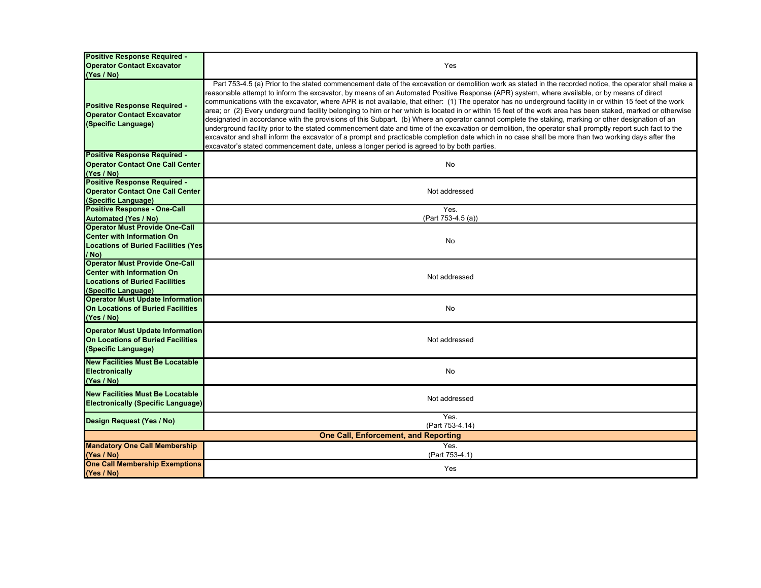| <b>Positive Response Required -</b><br><b>Operator Contact Excavator</b><br>(Yes / No)                                              | Yes                                                                                                                                                                                                                                                                                                                                                                                                                                                                                                                                                                                                                                                                                                                                                                                                                                                                                                                                                                                                                                                                                                                                                                                                        |  |
|-------------------------------------------------------------------------------------------------------------------------------------|------------------------------------------------------------------------------------------------------------------------------------------------------------------------------------------------------------------------------------------------------------------------------------------------------------------------------------------------------------------------------------------------------------------------------------------------------------------------------------------------------------------------------------------------------------------------------------------------------------------------------------------------------------------------------------------------------------------------------------------------------------------------------------------------------------------------------------------------------------------------------------------------------------------------------------------------------------------------------------------------------------------------------------------------------------------------------------------------------------------------------------------------------------------------------------------------------------|--|
| <b>Positive Response Required -</b><br><b>Operator Contact Excavator</b><br>(Specific Language)                                     | Part 753-4.5 (a) Prior to the stated commencement date of the excavation or demolition work as stated in the recorded notice, the operator shall make a<br>reasonable attempt to inform the excavator, by means of an Automated Positive Response (APR) system, where available, or by means of direct<br>communications with the excavator, where APR is not available, that either: (1) The operator has no underground facility in or within 15 feet of the work<br>area; or (2) Every underground facility belonging to him or her which is located in or within 15 feet of the work area has been staked, marked or otherwise<br>designated in accordance with the provisions of this Subpart. (b) Where an operator cannot complete the staking, marking or other designation of an<br>underground facility prior to the stated commencement date and time of the excavation or demolition, the operator shall promptly report such fact to the<br>excavator and shall inform the excavator of a prompt and practicable completion date which in no case shall be more than two working days after the<br>excavator's stated commencement date, unless a longer period is agreed to by both parties. |  |
| <b>Positive Response Required -</b><br><b>Operator Contact One Call Center</b><br>(Yes / No)                                        | <b>No</b>                                                                                                                                                                                                                                                                                                                                                                                                                                                                                                                                                                                                                                                                                                                                                                                                                                                                                                                                                                                                                                                                                                                                                                                                  |  |
| <b>Positive Response Required -</b><br><b>Operator Contact One Call Center</b><br>(Specific Language)                               | Not addressed                                                                                                                                                                                                                                                                                                                                                                                                                                                                                                                                                                                                                                                                                                                                                                                                                                                                                                                                                                                                                                                                                                                                                                                              |  |
| <b>Positive Response - One-Call</b>                                                                                                 | Yes.                                                                                                                                                                                                                                                                                                                                                                                                                                                                                                                                                                                                                                                                                                                                                                                                                                                                                                                                                                                                                                                                                                                                                                                                       |  |
| <b>Automated (Yes / No)</b><br><b>Operator Must Provide One-Call</b>                                                                | (Part 753-4.5 (a))                                                                                                                                                                                                                                                                                                                                                                                                                                                                                                                                                                                                                                                                                                                                                                                                                                                                                                                                                                                                                                                                                                                                                                                         |  |
| <b>Center with Information On</b><br><b>Locations of Buried Facilities (Yes)</b><br>/ No)                                           | No                                                                                                                                                                                                                                                                                                                                                                                                                                                                                                                                                                                                                                                                                                                                                                                                                                                                                                                                                                                                                                                                                                                                                                                                         |  |
| <b>Operator Must Provide One-Call</b><br><b>Center with Information On</b><br>Locations of Buried Facilities<br>(Specific Language) | Not addressed                                                                                                                                                                                                                                                                                                                                                                                                                                                                                                                                                                                                                                                                                                                                                                                                                                                                                                                                                                                                                                                                                                                                                                                              |  |
| <b>Operator Must Update Information</b><br><b>On Locations of Buried Facilities</b><br>(Yes / No)                                   | No                                                                                                                                                                                                                                                                                                                                                                                                                                                                                                                                                                                                                                                                                                                                                                                                                                                                                                                                                                                                                                                                                                                                                                                                         |  |
| <b>Operator Must Update Information</b><br>On Locations of Buried Facilities<br>(Specific Language)                                 | Not addressed                                                                                                                                                                                                                                                                                                                                                                                                                                                                                                                                                                                                                                                                                                                                                                                                                                                                                                                                                                                                                                                                                                                                                                                              |  |
| <b>New Facilities Must Be Locatable</b><br>Electronically<br>(Yes / No)                                                             | No                                                                                                                                                                                                                                                                                                                                                                                                                                                                                                                                                                                                                                                                                                                                                                                                                                                                                                                                                                                                                                                                                                                                                                                                         |  |
| <b>New Facilities Must Be Locatable</b><br><b>Electronically (Specific Language)</b>                                                | Not addressed                                                                                                                                                                                                                                                                                                                                                                                                                                                                                                                                                                                                                                                                                                                                                                                                                                                                                                                                                                                                                                                                                                                                                                                              |  |
| Design Request (Yes / No)                                                                                                           | Yes.<br>(Part 753-4.14)                                                                                                                                                                                                                                                                                                                                                                                                                                                                                                                                                                                                                                                                                                                                                                                                                                                                                                                                                                                                                                                                                                                                                                                    |  |
| <b>One Call, Enforcement, and Reporting</b>                                                                                         |                                                                                                                                                                                                                                                                                                                                                                                                                                                                                                                                                                                                                                                                                                                                                                                                                                                                                                                                                                                                                                                                                                                                                                                                            |  |
| <b>Mandatory One Call Membership</b><br>(Yes / No)                                                                                  | Yes.<br>(Part 753-4.1)                                                                                                                                                                                                                                                                                                                                                                                                                                                                                                                                                                                                                                                                                                                                                                                                                                                                                                                                                                                                                                                                                                                                                                                     |  |
| <b>One Call Membership Exemptions</b><br>(Yes / No)                                                                                 | Yes                                                                                                                                                                                                                                                                                                                                                                                                                                                                                                                                                                                                                                                                                                                                                                                                                                                                                                                                                                                                                                                                                                                                                                                                        |  |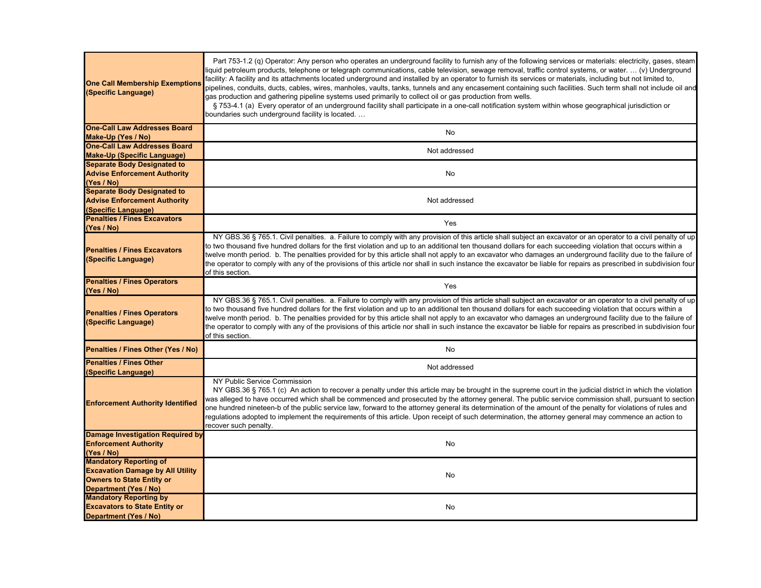| <b>One Call Membership Exemptions</b><br>(Specific Language)  | Part 753-1.2 (q) Operator: Any person who operates an underground facility to furnish any of the following services or materials: electricity, gases, steam<br>liquid petroleum products, telephone or telegraph communications, cable television, sewage removal, traffic control systems, or water.  (v) Underground<br>facility: A facility and its attachments located underground and installed by an operator to furnish its services or materials, including but not limited to,<br>pipelines, conduits, ducts, cables, wires, manholes, vaults, tanks, tunnels and any encasement containing such facilities. Such term shall not include oil and<br>gas production and gathering pipeline systems used primarily to collect oil or gas production from wells.<br>§ 753-4.1 (a) Every operator of an underground facility shall participate in a one-call notification system within whose geographical jurisdiction or<br>boundaries such underground facility is located |
|---------------------------------------------------------------|------------------------------------------------------------------------------------------------------------------------------------------------------------------------------------------------------------------------------------------------------------------------------------------------------------------------------------------------------------------------------------------------------------------------------------------------------------------------------------------------------------------------------------------------------------------------------------------------------------------------------------------------------------------------------------------------------------------------------------------------------------------------------------------------------------------------------------------------------------------------------------------------------------------------------------------------------------------------------------|
| <b>One-Call Law Addresses Board</b>                           |                                                                                                                                                                                                                                                                                                                                                                                                                                                                                                                                                                                                                                                                                                                                                                                                                                                                                                                                                                                    |
| Make-Up (Yes / No)                                            | No                                                                                                                                                                                                                                                                                                                                                                                                                                                                                                                                                                                                                                                                                                                                                                                                                                                                                                                                                                                 |
| <b>One-Call Law Addresses Board</b>                           | Not addressed                                                                                                                                                                                                                                                                                                                                                                                                                                                                                                                                                                                                                                                                                                                                                                                                                                                                                                                                                                      |
| Make-Up (Specific Language)                                   |                                                                                                                                                                                                                                                                                                                                                                                                                                                                                                                                                                                                                                                                                                                                                                                                                                                                                                                                                                                    |
| <b>Separate Body Designated to</b>                            |                                                                                                                                                                                                                                                                                                                                                                                                                                                                                                                                                                                                                                                                                                                                                                                                                                                                                                                                                                                    |
| <b>Advise Enforcement Authority</b>                           | No                                                                                                                                                                                                                                                                                                                                                                                                                                                                                                                                                                                                                                                                                                                                                                                                                                                                                                                                                                                 |
| (Yes / No)                                                    |                                                                                                                                                                                                                                                                                                                                                                                                                                                                                                                                                                                                                                                                                                                                                                                                                                                                                                                                                                                    |
| <b>Separate Body Designated to</b>                            |                                                                                                                                                                                                                                                                                                                                                                                                                                                                                                                                                                                                                                                                                                                                                                                                                                                                                                                                                                                    |
| <b>Advise Enforcement Authority</b>                           | Not addressed                                                                                                                                                                                                                                                                                                                                                                                                                                                                                                                                                                                                                                                                                                                                                                                                                                                                                                                                                                      |
| (Specific Language)                                           |                                                                                                                                                                                                                                                                                                                                                                                                                                                                                                                                                                                                                                                                                                                                                                                                                                                                                                                                                                                    |
| <b>Penalties / Fines Excavators</b>                           | Yes                                                                                                                                                                                                                                                                                                                                                                                                                                                                                                                                                                                                                                                                                                                                                                                                                                                                                                                                                                                |
| (Yes / No)                                                    |                                                                                                                                                                                                                                                                                                                                                                                                                                                                                                                                                                                                                                                                                                                                                                                                                                                                                                                                                                                    |
| <b>Penalties / Fines Excavators</b><br>(Specific Language)    | NY GBS.36 § 765.1. Civil penalties. a. Failure to comply with any provision of this article shall subject an excavator or an operator to a civil penalty of up<br>to two thousand five hundred dollars for the first violation and up to an additional ten thousand dollars for each succeeding violation that occurs within a<br>twelve month period. b. The penalties provided for by this article shall not apply to an excavator who damages an underground facility due to the failure of<br>the operator to comply with any of the provisions of this article nor shall in such instance the excavator be liable for repairs as prescribed in subdivision four<br>of this section.                                                                                                                                                                                                                                                                                           |
| <b>Penalties / Fines Operators</b><br>(Yes / No)              | Yes                                                                                                                                                                                                                                                                                                                                                                                                                                                                                                                                                                                                                                                                                                                                                                                                                                                                                                                                                                                |
| <b>Penalties / Fines Operators</b><br>(Specific Language)     | NY GBS.36 § 765.1. Civil penalties. a. Failure to comply with any provision of this article shall subject an excavator or an operator to a civil penalty of up<br>to two thousand five hundred dollars for the first violation and up to an additional ten thousand dollars for each succeeding violation that occurs within a<br>twelve month period. b. The penalties provided for by this article shall not apply to an excavator who damages an underground facility due to the failure of<br>the operator to comply with any of the provisions of this article nor shall in such instance the excavator be liable for repairs as prescribed in subdivision four<br>of this section.                                                                                                                                                                                                                                                                                           |
| Penalties / Fines Other (Yes / No)                            | No                                                                                                                                                                                                                                                                                                                                                                                                                                                                                                                                                                                                                                                                                                                                                                                                                                                                                                                                                                                 |
| <b>Penalties / Fines Other</b><br>(Specific Language)         | Not addressed                                                                                                                                                                                                                                                                                                                                                                                                                                                                                                                                                                                                                                                                                                                                                                                                                                                                                                                                                                      |
| <b>Enforcement Authority Identified</b>                       | NY Public Service Commission<br>NY GBS.36 § 765.1 (c) An action to recover a penalty under this article may be brought in the supreme court in the judicial district in which the violation<br>was alleged to have occurred which shall be commenced and prosecuted by the attorney general. The public service commission shall, pursuant to section<br>one hundred nineteen-b of the public service law, forward to the attorney general its determination of the amount of the penalty for violations of rules and<br>regulations adopted to implement the requirements of this article. Upon receipt of such determination, the attorney general may commence an action to<br>recover such penalty.                                                                                                                                                                                                                                                                            |
| Damage Investigation Required by                              |                                                                                                                                                                                                                                                                                                                                                                                                                                                                                                                                                                                                                                                                                                                                                                                                                                                                                                                                                                                    |
| <b>Enforcement Authority</b>                                  | No                                                                                                                                                                                                                                                                                                                                                                                                                                                                                                                                                                                                                                                                                                                                                                                                                                                                                                                                                                                 |
| (Yes / No)                                                    |                                                                                                                                                                                                                                                                                                                                                                                                                                                                                                                                                                                                                                                                                                                                                                                                                                                                                                                                                                                    |
| <b>Mandatory Reporting of</b>                                 |                                                                                                                                                                                                                                                                                                                                                                                                                                                                                                                                                                                                                                                                                                                                                                                                                                                                                                                                                                                    |
| <b>Excavation Damage by All Utility</b>                       | No                                                                                                                                                                                                                                                                                                                                                                                                                                                                                                                                                                                                                                                                                                                                                                                                                                                                                                                                                                                 |
| <b>Owners to State Entity or</b>                              |                                                                                                                                                                                                                                                                                                                                                                                                                                                                                                                                                                                                                                                                                                                                                                                                                                                                                                                                                                                    |
| Department (Yes / No)                                         |                                                                                                                                                                                                                                                                                                                                                                                                                                                                                                                                                                                                                                                                                                                                                                                                                                                                                                                                                                                    |
| <b>Mandatory Reporting by</b>                                 |                                                                                                                                                                                                                                                                                                                                                                                                                                                                                                                                                                                                                                                                                                                                                                                                                                                                                                                                                                                    |
| <b>Excavators to State Entity or</b><br>Department (Yes / No) | No                                                                                                                                                                                                                                                                                                                                                                                                                                                                                                                                                                                                                                                                                                                                                                                                                                                                                                                                                                                 |